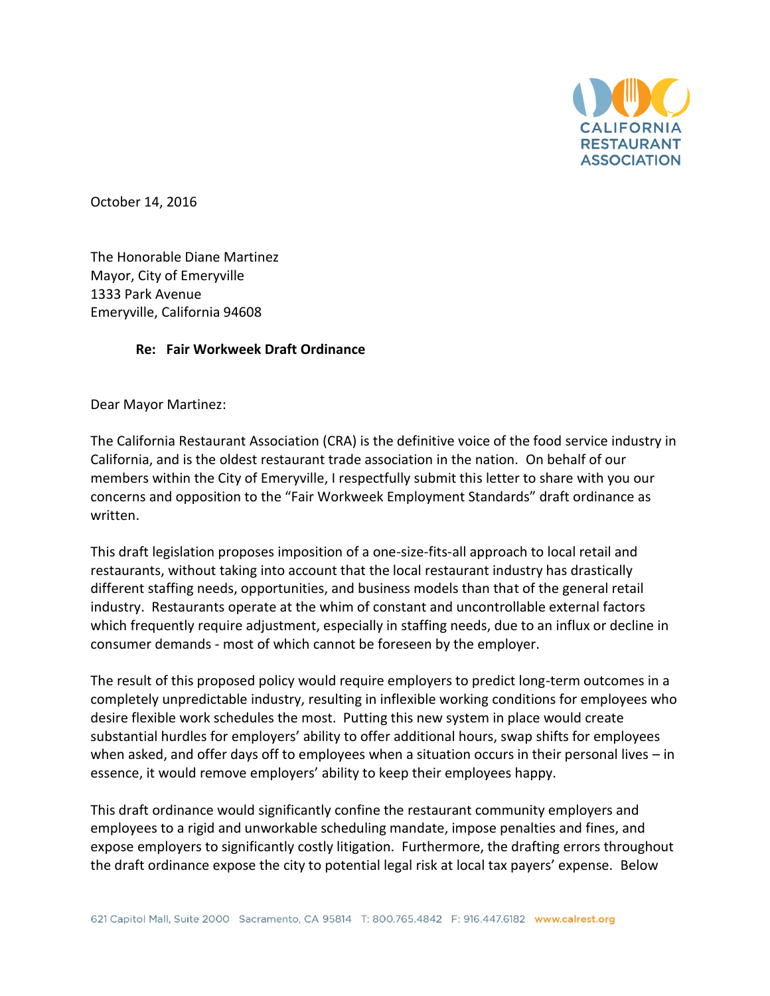

October 14, 2016

The Honorable Diane Martinez Mayor, City of Emeryville 1333 Park Avenue Emeryville, California 94608

## **Re: Fair Workweek Draft Ordinance**

Dear Mayor Martinez:

The California Restaurant Association (CRA) is the definitive voice of the food service industry in California, and is the oldest restaurant trade association in the nation. On behalf of our members within the City of Emeryville, I respectfully submit this letter to share with you our concerns and opposition to the "Fair Workweek Employment Standards" draft ordinance as written.

This draft legislation proposes imposition of a one-size-fits-all approach to local retail and restaurants, without taking into account that the local restaurant industry has drastically different staffing needs, opportunities, and business models than that of the general retail industry. Restaurants operate at the whim of constant and uncontrollable external factors which frequently require adjustment, especially in staffing needs, due to an influx or decline in consumer demands - most of which cannot be foreseen by the employer.

The result of this proposed policy would require employers to predict long-term outcomes in a completely unpredictable industry, resulting in inflexible working conditions for employees who desire flexible work schedules the most. Putting this new system in place would create substantial hurdles for employers' ability to offer additional hours, swap shifts for employees when asked, and offer days off to employees when a situation occurs in their personal lives – in essence, it would remove employers' ability to keep their employees happy.

This draft ordinance would significantly confine the restaurant community employers and employees to a rigid and unworkable scheduling mandate, impose penalties and fines, and expose employers to significantly costly litigation. Furthermore, the drafting errors throughout the draft ordinance expose the city to potential legal risk at local tax payers' expense. Below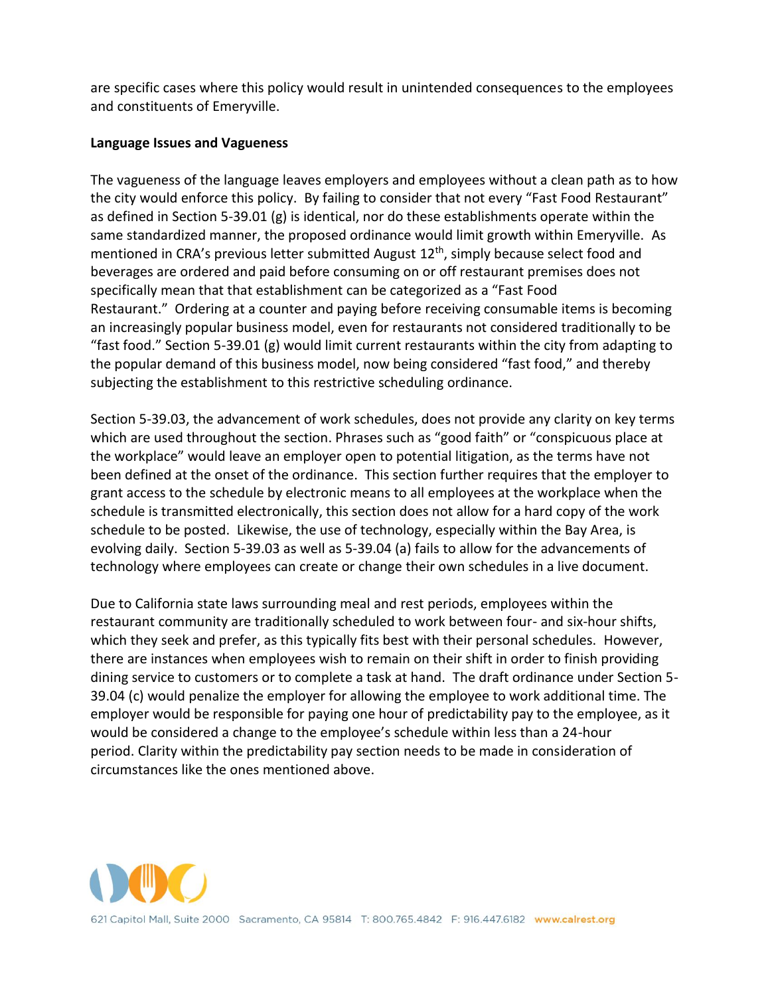are specific cases where this policy would result in unintended consequences to the employees and constituents of Emeryville.

## **Language Issues and Vagueness**

The vagueness of the language leaves employers and employees without a clean path as to how the city would enforce this policy. By failing to consider that not every "Fast Food Restaurant" as defined in Section 5-39.01 (g) is identical, nor do these establishments operate within the same standardized manner, the proposed ordinance would limit growth within Emeryville. As mentioned in CRA's previous letter submitted August  $12<sup>th</sup>$ , simply because select food and beverages are ordered and paid before consuming on or off restaurant premises does not specifically mean that that establishment can be categorized as a "Fast Food Restaurant." Ordering at a counter and paying before receiving consumable items is becoming an increasingly popular business model, even for restaurants not considered traditionally to be "fast food." Section 5-39.01 (g) would limit current restaurants within the city from adapting to the popular demand of this business model, now being considered "fast food," and thereby subjecting the establishment to this restrictive scheduling ordinance.

Section 5-39.03, the advancement of work schedules, does not provide any clarity on key terms which are used throughout the section. Phrases such as "good faith" or "conspicuous place at the workplace" would leave an employer open to potential litigation, as the terms have not been defined at the onset of the ordinance. This section further requires that the employer to grant access to the schedule by electronic means to all employees at the workplace when the schedule is transmitted electronically, this section does not allow for a hard copy of the work schedule to be posted. Likewise, the use of technology, especially within the Bay Area, is evolving daily. Section 5-39.03 as well as 5-39.04 (a) fails to allow for the advancements of technology where employees can create or change their own schedules in a live document.

Due to California state laws surrounding meal and rest periods, employees within the restaurant community are traditionally scheduled to work between four- and six-hour shifts, which they seek and prefer, as this typically fits best with their personal schedules. However, there are instances when employees wish to remain on their shift in order to finish providing dining service to customers or to complete a task at hand. The draft ordinance under Section 5- 39.04 (c) would penalize the employer for allowing the employee to work additional time. The employer would be responsible for paying one hour of predictability pay to the employee, as it would be considered a change to the employee's schedule within less than a 24-hour period. Clarity within the predictability pay section needs to be made in consideration of circumstances like the ones mentioned above.

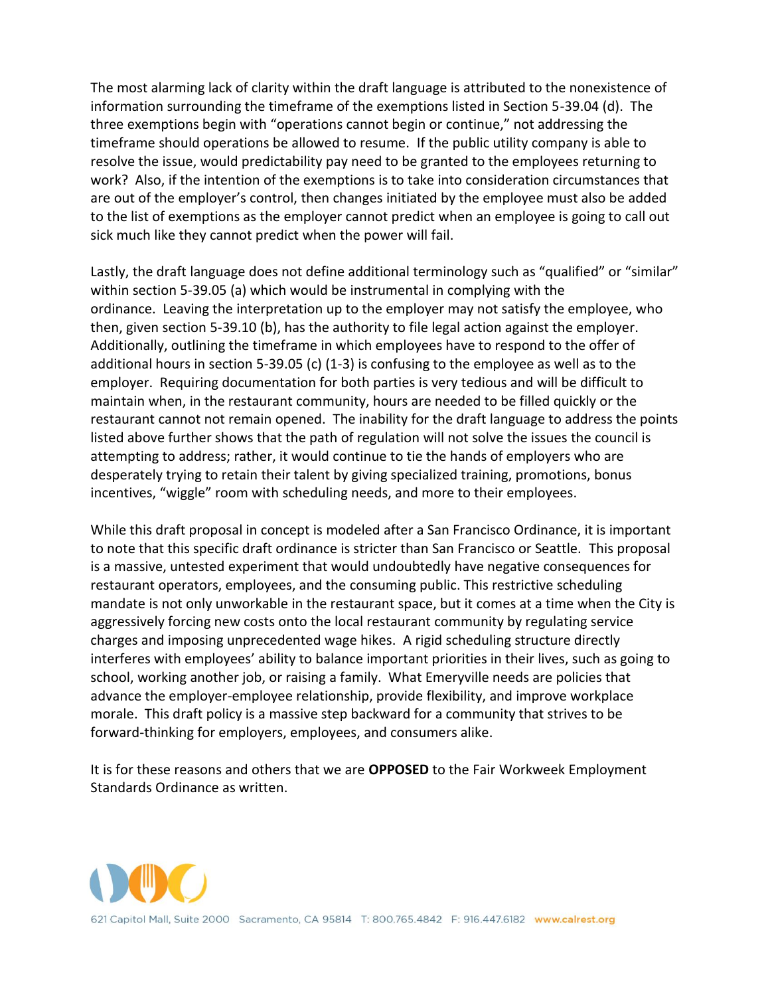The most alarming lack of clarity within the draft language is attributed to the nonexistence of information surrounding the timeframe of the exemptions listed in Section 5-39.04 (d). The three exemptions begin with "operations cannot begin or continue," not addressing the timeframe should operations be allowed to resume. If the public utility company is able to resolve the issue, would predictability pay need to be granted to the employees returning to work? Also, if the intention of the exemptions is to take into consideration circumstances that are out of the employer's control, then changes initiated by the employee must also be added to the list of exemptions as the employer cannot predict when an employee is going to call out sick much like they cannot predict when the power will fail.

Lastly, the draft language does not define additional terminology such as "qualified" or "similar" within section 5-39.05 (a) which would be instrumental in complying with the ordinance. Leaving the interpretation up to the employer may not satisfy the employee, who then, given section 5-39.10 (b), has the authority to file legal action against the employer. Additionally, outlining the timeframe in which employees have to respond to the offer of additional hours in section 5-39.05 (c)  $(1-3)$  is confusing to the employee as well as to the employer. Requiring documentation for both parties is very tedious and will be difficult to maintain when, in the restaurant community, hours are needed to be filled quickly or the restaurant cannot not remain opened. The inability for the draft language to address the points listed above further shows that the path of regulation will not solve the issues the council is attempting to address; rather, it would continue to tie the hands of employers who are desperately trying to retain their talent by giving specialized training, promotions, bonus incentives, "wiggle" room with scheduling needs, and more to their employees.

While this draft proposal in concept is modeled after a San Francisco Ordinance, it is important to note that this specific draft ordinance is stricter than San Francisco or Seattle. This proposal is a massive, untested experiment that would undoubtedly have negative consequences for restaurant operators, employees, and the consuming public. This restrictive scheduling mandate is not only unworkable in the restaurant space, but it comes at a time when the City is aggressively forcing new costs onto the local restaurant community by regulating service charges and imposing unprecedented wage hikes. A rigid scheduling structure directly interferes with employees' ability to balance important priorities in their lives, such as going to school, working another job, or raising a family. What Emeryville needs are policies that advance the employer-employee relationship, provide flexibility, and improve workplace morale. This draft policy is a massive step backward for a community that strives to be forward-thinking for employers, employees, and consumers alike.

It is for these reasons and others that we are **OPPOSED** to the Fair Workweek Employment Standards Ordinance as written.